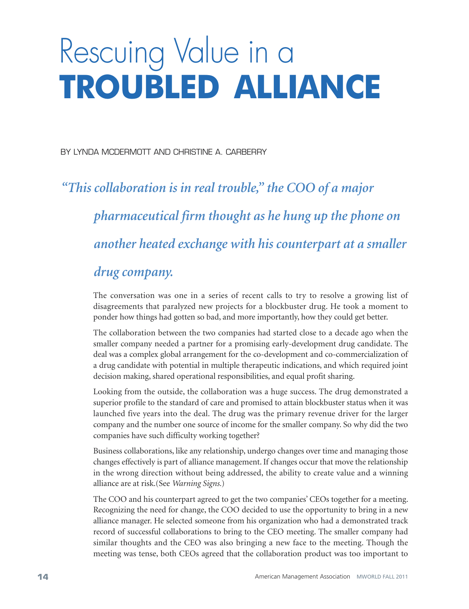# Rescuing Value in a **TROUBLED ALLIANCE**

BY LYNDA MCDERMOTT AND CHRISTINE A. CARBERRY

# *"This collaboration is in real trouble, " the COO of a major pharmaceutical firm thought as he hung up the phone on another heated exchange with his counterpart at a smaller drug company.*

The conversation was one in a series of recent calls to try to resolve a growing list of disagreements that paralyzed new projects for a blockbuster drug. He took a moment to ponder how things had gotten so bad, and more importantly, how they could get better.

The collaboration between the two companies had started close to a decade ago when the smaller company needed a partner for a promising early-development drug candidate. The deal was a complex global arrangement for the co-development and co-commercialization of a drug candidate with potential in multiple therapeutic indications, and which required joint decision making, shared operational responsibilities, and equal profit sharing.

Looking from the outside, the collaboration was a huge success. The drug demonstrated a superior profile to the standard of care and promised to attain blockbuster status when it was launched five years into the deal. The drug was the primary revenue driver for the larger company and the number one source of income for the smaller company. So why did the two companies have such difficulty working together?

Business collaborations, like any relationship, undergo changes over time and managing those changes effectively is part of alliance management. If changes occur that move the relationship in the wrong direction without being addressed, the ability to create value and a winning alliance are at risk.(See *Warning Signs.*)

The COO and his counterpart agreed to get the two companies' CEOs together for a meeting. Recognizing the need for change, the COO decided to use the opportunity to bring in a new alliance manager. He selected someone from his organization who had a demonstrated track record of successful collaborations to bring to the CEO meeting. The smaller company had similar thoughts and the CEO was also bringing a new face to the meeting. Though the meeting was tense, both CEOs agreed that the collaboration product was too important to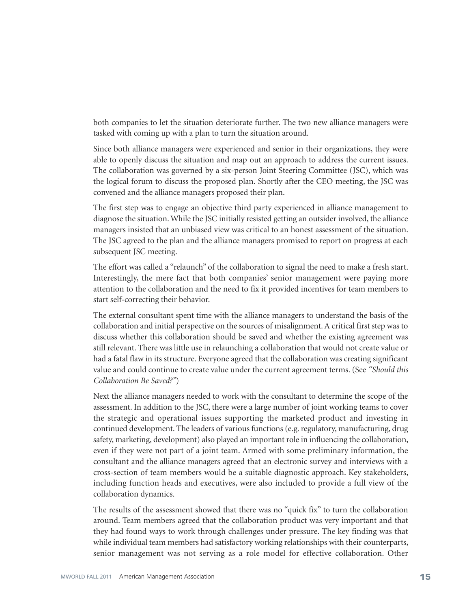both companies to let the situation deteriorate further. The two new alliance managers were tasked with coming up with a plan to turn the situation around.

Since both alliance managers were experienced and senior in their organizations, they were able to openly discuss the situation and map out an approach to address the current issues. The collaboration was governed by a six-person Joint Steering Committee (JSC), which was the logical forum to discuss the proposed plan. Shortly after the CEO meeting, the JSC was convened and the alliance managers proposed their plan.

The first step was to engage an objective third party experienced in alliance management to diagnose the situation.While the JSC initially resisted getting an outsider involved, the alliance managers insisted that an unbiased view was critical to an honest assessment of the situation. The JSC agreed to the plan and the alliance managers promised to report on progress at each subsequent JSC meeting.

The effort was called a "relaunch" of the collaboration to signal the need to make a fresh start. Interestingly, the mere fact that both companies' senior management were paying more attention to the collaboration and the need to fix it provided incentives for team members to start self-correcting their behavior.

The external consultant spent time with the alliance managers to understand the basis of the collaboration and initial perspective on the sources of misalignment.A critical first step was to discuss whether this collaboration should be saved and whether the existing agreement was still relevant. There was little use in relaunching a collaboration that would not create value or had a fatal flaw in its structure. Everyone agreed that the collaboration was creating significant value and could continue to create value under the current agreement terms. (See *"Should this Collaboration Be Saved?"*)

Next the alliance managers needed to work with the consultant to determine the scope of the assessment. In addition to the JSC, there were a large number of joint working teams to cover the strategic and operational issues supporting the marketed product and investing in continued development. The leaders of various functions (e.g. regulatory, manufacturing, drug safety, marketing, development) also played an important role in influencing the collaboration, even if they were not part of a joint team. Armed with some preliminary information, the consultant and the alliance managers agreed that an electronic survey and interviews with a cross-section of team members would be a suitable diagnostic approach. Key stakeholders, including function heads and executives, were also included to provide a full view of the collaboration dynamics.

The results of the assessment showed that there was no "quick fix" to turn the collaboration around. Team members agreed that the collaboration product was very important and that they had found ways to work through challenges under pressure. The key finding was that while individual team members had satisfactory working relationships with their counterparts, senior management was not serving as a role model for effective collaboration. Other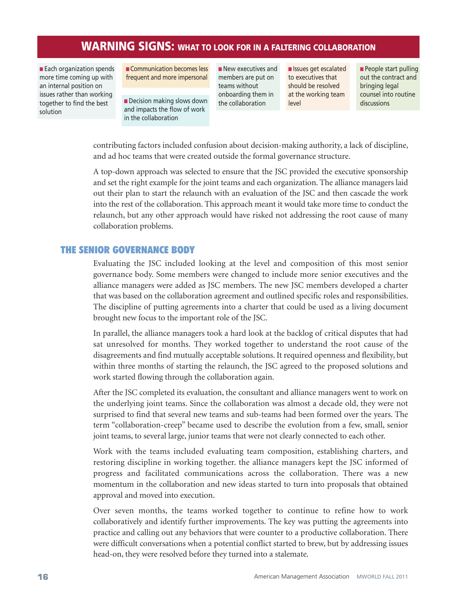## **WARNING SIGNS: WHAT TO LOOK FOR IN <sup>A</sup> FALTERING COLLABORATION**

■ Each organization spends more time coming up with an internal position on issues rather than working together to find the best solution

**■** Communication becomes less frequent and more impersonal

■ Decision making slows down and impacts the flow of work in the collaboration

■ New executives and members are put on teams without onboarding them in the collaboration

**■** Issues get escalated to executives that should be resolved at the working team level

■ People start pulling out the contract and bringing legal counsel into routine discussions

contributing factors included confusion about decision-making authority, a lack of discipline, and ad hoc teams that were created outside the formal governance structure.

A top-down approach was selected to ensure that the JSC provided the executive sponsorship and set the right example for the joint teams and each organization. The alliance managers laid out their plan to start the relaunch with an evaluation of the JSC and then cascade the work into the rest of the collaboration. This approach meant it would take more time to conduct the relaunch, but any other approach would have risked not addressing the root cause of many collaboration problems.

### **THE SENIOR GOVERNANCE BODY**

Evaluating the JSC included looking at the level and composition of this most senior governance body. Some members were changed to include more senior executives and the alliance managers were added as JSC members. The new JSC members developed a charter that was based on the collaboration agreement and outlined specific roles and responsibilities. The discipline of putting agreements into a charter that could be used as a living document brought new focus to the important role of the JSC.

In parallel, the alliance managers took a hard look at the backlog of critical disputes that had sat unresolved for months. They worked together to understand the root cause of the disagreements and find mutually acceptable solutions. It required openness and flexibility, but within three months of starting the relaunch, the JSC agreed to the proposed solutions and work started flowing through the collaboration again.

After the JSC completed its evaluation, the consultant and alliance managers went to work on the underlying joint teams. Since the collaboration was almost a decade old, they were not surprised to find that several new teams and sub-teams had been formed over the years. The term "collaboration-creep" became used to describe the evolution from a few, small, senior joint teams, to several large, junior teams that were not clearly connected to each other.

Work with the teams included evaluating team composition, establishing charters, and restoring discipline in working together. the alliance managers kept the JSC informed of progress and facilitated communications across the collaboration. There was a new momentum in the collaboration and new ideas started to turn into proposals that obtained approval and moved into execution.

Over seven months, the teams worked together to continue to refine how to work collaboratively and identify further improvements. The key was putting the agreements into practice and calling out any behaviors that were counter to a productive collaboration. There were difficult conversations when a potential conflict started to brew, but by addressing issues head-on, they were resolved before they turned into a stalemate.